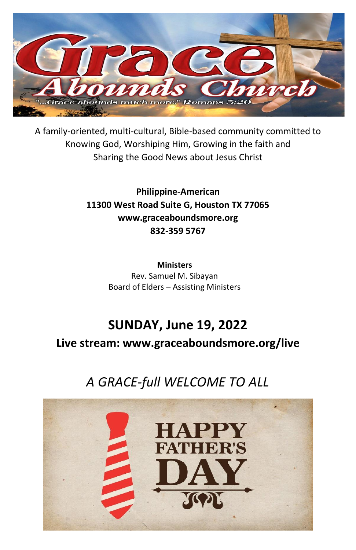

A family-oriented, multi-cultural, Bible-based community committed to Knowing God, Worshiping Him, Growing in the faith and Sharing the Good News about Jesus Christ

> **Philippine-American 11300 West Road Suite G, Houston TX 77065 www.graceaboundsmore.org 832-359 5767**

> > **Ministers** Rev. Samuel M. Sibayan Board of Elders – Assisting Ministers

# **SUNDAY, June 19, 2022**

**Live stream: www.graceaboundsmore.org/live**

# *A GRACE-full WELCOME TO ALL*

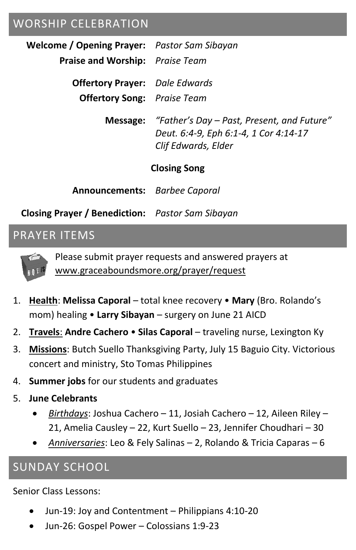### WORSHIP CELEBRATION

**Welcome / Opening Prayer:** *Pastor Sam Sibayan*

**Praise and Worship:** *Praise Team*

**Offertory Prayer:** *Dale Edwards*

**Offertory Song:** *Praise Team*

**Message:** *"Father's Day – Past, Present, and Future" Deut. 6:4-9, Eph 6:1-4, 1 Cor 4:14-17 Clif Edwards, Elder*

#### **Closing Song**

**Announcements:** *Barbee Caporal*

**Closing Prayer / Benediction:** *Pastor Sam Sibayan*

### PRAYER ITEMS



Please submit prayer requests and answered prayers at www.graceaboundsmore.org/prayer/request

- 1. **Health**: **Melissa Caporal** total knee recovery **Mary** (Bro. Rolando's mom) healing • **Larry Sibayan** – surgery on June 21 AICD
- 2. **Travels**: **Andre Cachero Silas Caporal** traveling nurse, Lexington Ky
- 3. **Missions**: Butch Suello Thanksgiving Party, July 15 Baguio City. Victorious concert and ministry, Sto Tomas Philippines
- 4. **Summer jobs** for our students and graduates
- 5. **June Celebrants**
	- *Birthdays*: Joshua Cachero 11, Josiah Cachero 12, Aileen Riley 21, Amelia Causley – 22, Kurt Suello – 23, Jennifer Choudhari – 30
	- *Anniversaries*: Leo & Fely Salinas 2, Rolando & Tricia Caparas 6

## SUNDAY SCHOOL

Senior Class Lessons:

- Jun-19: Joy and Contentment Philippians 4:10-20
- Jun-26: Gospel Power Colossians 1:9-23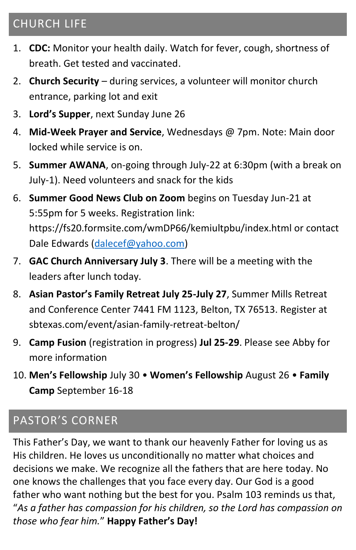# CHURCH LIFE

- 1. **CDC:** Monitor your health daily. Watch for fever, cough, shortness of breath. Get tested and vaccinated.
- 2. **Church Security** during services, a volunteer will monitor church entrance, parking lot and exit
- 3. **Lord's Supper**, next Sunday June 26
- 4. **Mid-Week Prayer and Service**, Wednesdays @ 7pm. Note: Main door locked while service is on.
- 5. **Summer AWANA**, on-going through July-22 at 6:30pm (with a break on July-1). Need volunteers and snack for the kids
- 6. **Summer Good News Club on Zoom** begins on Tuesday Jun-21 at 5:55pm for 5 weeks. Registration link: https://fs20.formsite.com/wmDP66/kemiultpbu/index.html or contact Dale Edwards [\(dalecef@yahoo.com\)](mailto:dalecef@yahoo.com)
- 7. **GAC Church Anniversary July 3**. There will be a meeting with the leaders after lunch today.
- 8. **Asian Pastor's Family Retreat July 25-July 27**, Summer Mills Retreat and Conference Center 7441 FM 1123, Belton, TX 76513. Register at sbtexas.com/event/asian-family-retreat-belton/
- 9. **Camp Fusion** (registration in progress) **Jul 25-29**. Please see Abby for more information
- 10. **Men's Fellowship** July 30 **Women's Fellowship** August 26 **Family Camp** September 16-18

## PASTOR'S CORNER

This Father's Day, we want to thank our heavenly Father for loving us as His children. He loves us unconditionally no matter what choices and decisions we make. We recognize all the fathers that are here today. No one knows the challenges that you face every day. Our God is a good father who want nothing but the best for you. Psalm 103 reminds us that, "*As a father has compassion for his children, so the Lord has compassion on those who fear him.*" **Happy Father's Day!**